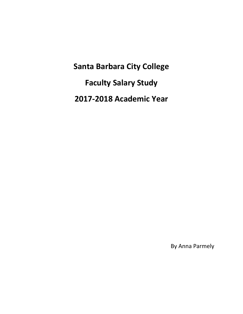**Santa Barbara City College Faculty Salary Study 2017-2018 Academic Year**

By Anna Parmely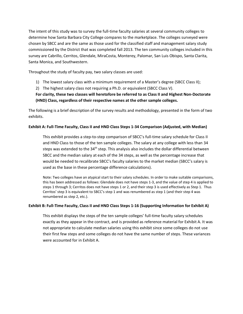The intent of this study was to survey the full-time faculty salaries at several community colleges to determine how Santa Barbara City College compares to the marketplace. The colleges surveyed were chosen by SBCC and are the same as those used for the classified staff and management salary study commissioned by the District that was completed fall 2013. The ten community colleges included in this survey are Cabrillo, Cerritos, Glendale, MiraCosta, Monterey, Palomar, San Luis Obispo, Santa Clarita, Santa Monica, and Southwestern.

Throughout the study of faculty pay, two salary classes are used:

- 1) The lowest salary class with a minimum requirement of a Master's degree (SBCC Class II);
- 2) The highest salary class not requiring a Ph.D. or equivalent (SBCC Class V).

### **For clarity, these two classes will heretofore be referred to as Class II and Highest Non-Doctorate (HND) Class, regardless of their respective names at the other sample colleges.**

The following is a brief description of the survey results and methodology, presented in the form of two exhibits.

#### **Exhibit A: Full-Time Faculty, Class II and HND Class Steps 1-34 Comparison (Adjusted, with Median)**

This exhibit provides a step-to-step comparison of SBCC's full-time salary schedule for Class II and HND Class to those of the ten sample colleges. The salary at any college with less than 34 steps was extended to the  $34<sup>th</sup>$  step. This analysis also includes the dollar differential between SBCC and the median salary at each of the 34 steps, as well as the percentage increase that would be needed to recalibrate SBCC's faculty salaries to the market median (SBCC's salary is used as the base in these percentage difference calculations).

Note: Two colleges have an atypical start to their salary schedules. In order to make suitable comparisons, this has been addressed as follows: Glendale does not have steps 1-3, and the value of step 4 is applied to steps 1 through 3; Cerritos does not have steps 1 or 2, and their step 3 is used effectively as Step 1. Thus Cerritos' step 3 is equivalent to SBCC's step 1 and was renumbered as step 1 (and their step 4 was renumbered as step 2, etc.).

#### **Exhibit B: Full-Time Faculty, Class II and HND Class Steps 1-16 (Supporting Information for Exhibit A)**

This exhibit displays the steps of the ten sample colleges' full-time faculty salary schedules exactly as they appear in the contract, and is provided as reference material for Exhibit A. It was not appropriate to calculate median salaries using this exhibit since some colleges do not use their first few steps and some colleges do not have the same number of steps. These variances were accounted for in Exhibit A.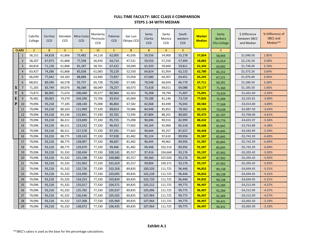### **FULL-TIME FACULTY: SBCC CLASS II COMPARISON STEPS 1-34 WITH MEDIAN**

|              |                 | Cabrillo<br>College | Cerritos<br><b>CCD</b> | Glendale<br>CCD | Mira Costa<br><b>CCD</b> | Monterey<br>Peninsula<br>CCD | Palomar<br><b>CCD</b> | San Luis<br>Obispo CCD | Santa<br>Clarita<br><b>CCD</b> | Santa<br>Monica<br><b>CCD</b> | South<br>western<br><b>CCD</b> | <b>Market</b><br><b>Median</b> | Santa<br><b>Barbara</b><br><b>City College</b> | \$ Difference<br>between SBCC<br>and Median | % Difference of<br>SBCC and<br>Median** |
|--------------|-----------------|---------------------|------------------------|-----------------|--------------------------|------------------------------|-----------------------|------------------------|--------------------------------|-------------------------------|--------------------------------|--------------------------------|------------------------------------------------|---------------------------------------------|-----------------------------------------|
|              | <b>CLASS</b>    | $\overline{2}$      | B.                     | $\mathbf{H}$    | Ш                        | Ш                            | $\mathsf{C}$          | B                      | B.                             | $\mathbf{II}$                 | $\mathbf{II}$                  |                                | $\mathbf{H}$                                   |                                             |                                         |
|              | $\mathbf{1}$    | 56,151              | 64,818                 | 61,868          | 73,482                   | 54,118                       | 62,005                | 45,036                 | 59,556                         | 54,900                        | 55,178                         | 57,854                         | 58,944                                         | \$1,090.50                                  | 1.85%                                   |
|              | $\overline{2}$  | 58,207              | 67,973                 | 61,868          | 77,338                   | 56,434                       | 64,714                | 47,531                 | 59,556                         | 57,250                        | 57,494                         | 58,882                         | 61,014                                         | \$2,132.50                                  | 3.50%                                   |
|              | $\overline{3}$  | 60,818              | 71,128                 | 61,868          | 81,187                   | 58,761                       | 67,422                | 50,040                 | 61,920                         | 59,604                        | 59,811                         | 61,343                         | 63,082                                         | \$1,738.96                                  | 2.76%                                   |
|              | $\overline{4}$  | 63,427              | 74,286                 | 61,868          | 85,038                   | 61,083                       | 70,129                | 52,550                 | 64,824                         | 61,954                        | 62,132                         | 62,780                         | 65,152                                         | \$2,372.26                                  | 3.64%                                   |
|              | 5               | 66,039              | 77,442                 | 64,183          | 88,888                   | 63,400                       | 72,837                | 55,058                 | 67,680                         | 64,307                        | 64,451                         | 65,245                         | 67,221                                         | \$1,976.00                                  | 2.94%                                   |
|              | $6\phantom{1}6$ | 68,651              | 80,596                 | 66,578          | 92,737                   | 65,728                       | 75,545                | 57,585                 | 70,548                         | 66,659                        | 66,770                         | 67,711                         | 69,291                                         | \$1,580.50                                  | 2.28%                                   |
| $\mathsf{S}$ | $\overline{7}$  | 71,265              | 83,749                 | 69,076          | 96,588                   | 68,049                       | 78,257                | 60,073                 | 73,428                         | 69,011                        | 69,088                         | 70,177                         | 71,360                                         | \$1,183.50                                  | 1.66%                                   |
| $\mathbf{T}$ | 8               | 73,873              | 86,905                 | 71,674          | 100,440                  | 70,377                       | 80,964                | 62,563                 | 76,308                         | 78,794                        | 71,407                         | 75,091                         | 73,429                                         | $-$1,661.60$                                | $-2.26%$                                |
| E            | 9               | 76,481              | 90,063                 | 74,379          | 104,290                  | 72,706                       | 83,914                | 65,069                 | 79,188                         | 81,146                        | 73,724                         | 77,835                         | 75,499                                         | $-$2,335.81$                                | $-3.09%$                                |
| $\mathbf{P}$ | 10              | 79,096              | 93,218                 | 77,185          | 108,140                  | 75,008                       | 86,864                | 67,582                 | 82,068                         | 83,498                        | 76,043                         | 80,582                         | 77,568                                         | $-$3,014.00$                                | $-3.89%$                                |
|              | 11              | 79,096              | 93,218                 | 80,103          | 111,990                  | 77,330                       | 89,814                | 70,086                 | 84,948                         | 85,852                        | 78,362                         | 82,526                         | 79,638                                         | $-$2,887.50$                                | $-3.63%$                                |
|              | 12              | 79,096              | 93,218                 | 83,146          | 115,841                  | 77,330                       | 92,762                | 72,595                 | 87,804                         | 88,201                        | 80,682                         | 85,475                         | 81,707                                         | -\$3,768.00                                 | $-4.61%$                                |
|              | 13              | 79,096              | 93,218                 | 86,311          | 119,690                  | 77,330                       | 95,715                | 75,098                 | 90,696                         | 90,553                        | 82,999                         | 88,432                         | 83,776                                         | $-$4,655.97$                                | $-5.56%$                                |
|              | 14              | 79,096              | 93,218                 | 86,311          | 123,542                  | 77,330                       | 96,453                | 77,602                 | 94,164                         | 92,906                        | 85,318                         | 89,608                         | 85,845                                         | -\$3,763.88                                 | $-4.38%$                                |
|              | 15              | 79,096              | 93,218                 | 86,311          | 127,378                  | 77,330                       | 97,191                | 77,602                 | 94,644                         | 95,257                        | 87,637                         | 90,428                         | 85,845                                         | $-$4,582.89$                                | $-5.34%$                                |
|              | 16              | 79,096              | 93,218                 | 88,775          | 128,143                  | 77,330                       | 97,928                | 81,482                 | 95,124                         | 97,610                        | 89,956                         | 91,587                         | 85,845                                         | $-$5,742.39$                                | $-6.69%$                                |
|              | 17              | 79,096              | 93,218                 | 88,775          | 128,907                  | 77,330                       | 98,667                | 81,482                 | 96,444                         | 99,962                        | 89,956                         | 91,587                         | 85,845                                         | $-$5,742.39$                                | $-6.69%$                                |
|              | 18              | 79,096              | 93,218                 | 88,775          | 129,670                  | 77,330                       | 99,406                | 81,482                 | 96,948                         | 102,314                       | 89,956                         | 91,587                         | 85,845                                         | $-$5,742.39$                                | $-6.69%$                                |
|              | 19              | 79,096              | 93,218                 | 91,332          | 130,434                  | 77,330                       | 100,141               | 85,557                 | 97,416                         | 104,668                       | 93,176                         | 93,197                         | 87,992                                         | $-$5,205.42$                                | $-5.92%$                                |
|              | 20              | 79,096              | 93,218                 | 91,332          | 131,198                  | 77,330                       | 100,880               | 85,557                 | 99,360                         | 107,020                       | 93,176                         | 93,197                         | 87,992                                         | $-$5,205.42$                                | $-5.92%$                                |
|              | 21              | 79,096              | 93,218                 | 91,332          | 131,963                  | 77,330                       | 101,619               | 85,557                 | 99,804                         | 109,372                       | 93,176                         | 93,197                         | 87,992                                         | $-$5,205.42$                                | $-5.92%$                                |
|              | 22              | 79,096              | 93,218                 | 91,332          | 132,726                  | 77,330                       | 102,358               | 89,835                 | 100,320                        | 111,725                       | 96,446                         | 94,832                         | 90,138                                         | $-$4,694.45$                                | $-5.21%$                                |
|              | 23              | 79,096              | 93,218                 | 91,332          | 133,490                  | 77,330                       | 103,095               | 89,835                 | 102,228                        | 111,725                       | 96,446                         | 94,832                         | 90,138                                         | -\$4,694.45                                 | $-5.21%$                                |
|              | 24              | 79,096              | 93,218                 | 91,332          | 134,253                  | 77,330                       | 103,834               | 89,835                 | 102,720                        | 111,725                       | 96,446                         | 94,832                         | 90,138                                         | $-$4,694.45$                                | $-5.21%$                                |
|              | 25              | 79,096              | 93,218                 | 91,332          | 135,017                  | 77,330                       | 104,571               | 89,835                 | 103,212                        | 111,725                       | 99,775                         | 96,497                         | 92,284                                         | $-54,212.99$                                | $-4.57%$                                |
|              | 26              | 79,096              | 93,218                 | 91,332          | 135,782                  | 77,330                       | 105,037               | 89,835                 | 105,096                        | 111,725                       | 99,775                         | 96,497                         | 92,284                                         | $-$4,212.99$                                | $-4.57%$                                |
|              | 27              | 79,096              | 93,218                 | 91,332          | 136,546                  | 77,330                       | 105,502               | 89,835                 | 107,964                        | 111,725                       | 99,775                         | 96,497                         | 92,284                                         | -\$4,212.99                                 | $-4.57%$                                |
|              | 28              | 79,096              | 93,218                 | 91,332          | 137,308                  | 77,330                       | 105,969               | 89,835                 | 107,964                        | 111,725                       | 99,775                         | 96,497                         | 94,431                                         | $-$2,065.50$                                | $-2.19%$                                |
|              | 29              | 79,096              | 93,218                 | 91,332          | 138,072                  | 77,330                       | 106,435               | 89,835                 | 107,964                        | 111,725                       | 99,775                         | 96,497                         | 94,431                                         | $-$2,065.50$                                | $-2.19%$                                |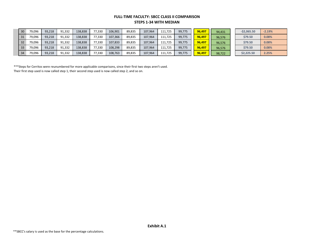#### **FULL-TIME FACULTY: SBCC CLASS II COMPARISON STEPS 1-34 WITH MEDIAN**

| 30 | 79,096 | 93,218 | 91,332 | 138,838 | 77,330 | 106,901 | 89,835 | 107,964 | 111,725 | 99,775 | 96,497 | 94,431 | $-52.065.50$ | $-2.19%$ |
|----|--------|--------|--------|---------|--------|---------|--------|---------|---------|--------|--------|--------|--------------|----------|
|    | 79,096 | 93,218 | 91,332 | 138,838 | 77,330 | 107,366 | 89,835 | 107,964 | 111,725 | 99,775 | 96,497 | 96,576 | \$79.50      | 0.08%    |
| 32 | 79,096 | 93,218 | 91,332 | 138,838 | 77,330 | 107,833 | 89,835 | 107,964 | 111,725 | 99,775 | 96,497 | 96,576 | \$79.50      | 0.08%    |
| 33 | 79,096 | 93,218 | 91,332 | 138,838 | 77,330 | 108,298 | 89,835 | 107,964 | 111,725 | 99,775 | 96,497 | 96,576 | \$79.50      | 0.08%    |
| 34 | 79,096 | 93,218 | 91,332 | 138,838 | 77,330 | 108,763 | 89,835 | 107,964 | 111,725 | 99,775 | 96,497 | 98,722 | \$2,225.50   | 2.25%    |

\*\*\*Steps for Cerritos were reunumbered for more applicable comparisons, since their first two steps aren't used. Their first step used is now called step 1, their second step used is now called step 2, and so on.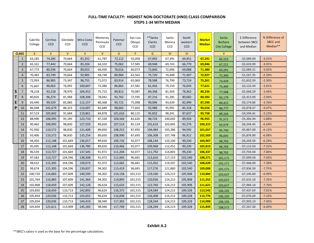### **FULL-TIME FACULTY: HIGHEST NON-DOCTORATE (HND) CLASS COMPARISON STEPS 1-34 WITH MEDIAN**

|   |                 | Cabrillo<br>College | Cerritos<br><b>CCD</b> | Glendale<br><b>CCD</b> | Mira Costa<br><b>CCD</b> | Monterey<br>Peninsula<br>CCD | Palomar<br><b>CCD</b> | San Luis<br>Obispo<br><b>CCD</b> | **Santa<br>Clarita<br><b>CCD</b> | Santa<br>Monica<br><b>CCD</b> | South<br>western<br><b>CCD</b> | <b>Market</b><br><b>Median</b> | Santa<br><b>Barbara</b><br><b>City College</b> | \$ Difference<br>between SBCC<br>and Median | % Difference of<br>SBCC and<br>Median** |
|---|-----------------|---------------------|------------------------|------------------------|--------------------------|------------------------------|-----------------------|----------------------------------|----------------------------------|-------------------------------|--------------------------------|--------------------------------|------------------------------------------------|---------------------------------------------|-----------------------------------------|
|   | <b>CLASS</b>    | 6                   | E.                     | $\mathsf{V}$           | $\vee$                   | $\vee$                       | G                     | F.                               | G                                | VI                            | VI                             |                                | $\mathsf{V}$                                   |                                             |                                         |
|   | $\mathbf{1}$    | 63,185              | 74,285                 | 70,664                 | 81,352                   | 61,787                       | 72,112                | 55,058                           | 67,092                           | 67,391                        | 64,451                         | 67,241                         | 65,152                                         | $-$2,089.60$                                | $-3.21%$                                |
|   | $\overline{2}$  | 65,161              | 77,442                 | 70,664                 | 85,204                   | 64,102                       | 75,062                | 57,585                           | 69,948                           | 69,743                        | 66,770                         | 69,846                         | 67,221                                         | $-$2,624.99$                                | $-3.91%$                                |
|   | $\overline{3}$  | 67,773              | 80,596                 | 70,664                 | 89,053                   | 66,430                       | 78,016                | 60,073                           | 72,840                           | 72,096                        | 69,088                         | 71,380                         | 69,291                                         | $-52,089.21$                                | $-3.02%$                                |
|   | $\overline{4}$  | 70,383              | 83,749                 | 70,664                 | 92,905                   | 68,748                       | 80,964                | 62,563                           | 75,720                           | 74,448                        | 71,407                         | 72,927                         | 71,360                                         | $-$1,567.35$                                | $-2.20%$                                |
|   | 5               | 72,993              | 86,905                 | 73,347                 | 96,755                   | 71,072                       | 83,914                | 65,069                           | 78,588                           | 76,799                        | 73,724                         | 75,261                         | 73,429                                         | $-$1,832.59$                                | $-2.50%$                                |
|   | $6\phantom{1}6$ | 75,607              | 90,063                 | 76,092                 | 100,607                  | 73,386                       | 86,863                | 67,582                           | 81,456                           | 79,150                        | 76,043                         | 77,621                         | 75,499                                         | $-52,122.44$                                | $-2.81%$                                |
| S | $\overline{7}$  | 78,218              | 93,218                 | 78,970                 | 104,452                  | 75,722                       | 89,813                | 70,087                           | 84,348                           | 81,503                        | 78,362                         | 80,236                         | 77,568                                         | $-$2,668.29$                                | $-3.44%$                                |
| Т | 8               | 80,826              | 96,374                 | 81,968                 | 108,308                  | 78,042                       | 92,762                | 72,595                           | 87,216                           | 91,285                        | 80,682                         | 84,592                         | 82,179                                         | $-52,413.00$                                | $-2.94%$                                |
| E | 9               | 83,440              | 99,529                 | 85,083                 | 112,157                  | 80,368                       | 95,715                | 75,098                           | 90,096                           | 93,639                        | 82,999                         | 87,590                         | 84,415                                         | $-53,174.86$                                | $-3.76%$                                |
| P | 10              | 86,048              | 102,679                | 88,323                 | 116,007                  | 82,689                       | 98,665                | 77,602                           | 92,988                           | 95,991                        | 85,318                         | 90,656                         | 86,777                                         | $-53,878.57$                                | $-4.47%$                                |
|   | 11              | 87,519              | 105,842                | 91,684                 | 119,861                  | 84,878                       | 101,616               | 80,115                           | 95,832                           | 98,341                        | 87,637                         | 93,758                         | 89,164                                         | $-54,594.41$                                | $-5.15%$                                |
|   | 12              | 88,990              | 108,995                | 95,185                 | 123,710                  | 87,334                       | 104,564               | 82,626                           | 98,724                           | 100,692                       | 89,956                         | 96,955                         | 91,571                                         | $-55,383.94$                                | $-5.88%$                                |
|   | 13              | 90,462              | 108,995                | 98,830                 | 127,559                  | 89,650                       | 107,514               | 85,124                           | 101,616                          | 103,045                       | 92,276                         | 100,223                        | 93,979                                         | $-$6,244.45$                                | $-6.64%$                                |
|   | 14              | 91,930              | 110,572                | 98,830                 | 131,409                  | 89,650                       | 108,252               | 87,693                           | 104,484                          | 105,396                       | 94,592                         | 101,657                        | 95,790                                         | $-$5,867.00$                                | $-6.12%$                                |
|   | 15              | 93,406              | 110,572                | 98,830                 | 135,254                  | 89,650                       | 108,990               | 87,693                           | 106,308                          | 107,748                       | 96,912                         | 102,569                        | 96,693                                         | $-$5,876.00$                                | $-6.08%$                                |
|   | 16              | 94,450              | 112,148                | 101,669                | 136,017                  | 89,650                       | 109,726               | 92,077                           | 108,144                          | 110,100                       | 99,230                         | 104,907                        | 98,703                                         | $-$6,203.50$                                | $-6.29%$                                |
|   | 17              | 95,495              | 112,148                | 101,669                | 136,780                  | 89,650                       | 110,466               | 92,077                           | 109,968                          | 112,452                       | 99,230                         | 105,819                        | 98,703                                         | -\$7,115.50                                 | $-7.21%$                                |
|   | 18              | 96,539              | 113,727                | 101,669                | 137,545                  | 91,972                       | 111,204               | 92,077                           | 111,792                          | 114,803                       | 99,230                         | 106,437                        | 98,703                                         | $-$7,733.50$                                | $-7.84%$                                |
|   | 19              | 97,583              | 113,727                | 104,596                | 138,308                  | 91,972                       | 111,945               | 96,681                           | 113,616                          | 117,153                       | 102,540                        | 108,271                        | 101,171                                        | $-$7,099.50$                                | $-7.02%$                                |
|   | 20              | 98,632              | 115,305                | 104,596                | 139,073                  | 91,972                       | 112,682               | 96,681                           | 115,452                          | 119,507                       | 102,540                        | 108,639                        | 101,171                                        | $-$7,468.00$                                | $-7.38%$                                |
|   | 21              | 99,674              | 115,305                | 104,596                | 139,837                  | 94,302                       | 113,419               | 96,681                           | 117,276                          | 121,860                       | 102,540                        | 109,008                        | 101,171                                        | $-$7,836.50$                                | $-7.75%$                                |
|   | 22              | 100,720             | 116,883                | 107,609                | 140,599                  | 94,302                       | 114,158               | 101,515                          | 119,100                          | 124,213                       | 105,908                        | 110,884                        | 103,637                                        | $-57,246.60$                                | $-6.99%$                                |
|   | 23              | 101,764             | 116,883                | 107,609                | 141,364                  | 94,302                       | 114,895               | 101,515                          | 120,936                          | 124,213                       | 105,908                        | 111,252                        | 103,637                                        | $-$ \$7,615.10                              | $-7.35%$                                |
|   | 24              | 102,808             | 118,459                | 107,609                | 142,128                  | 96,624                       | 115,633               | 101,515                          | 122,760                          | 124,213                       | 105,908                        | 111,621                        | 103,637                                        | $-57,984.10$                                | $-7.70%$                                |
|   | 25              | 103,850             | 118,459                | 110,713                | 142,892                  | 96,624                       | 116,372               | 101,515                          | 124,584                          | 124,213                       | 109,328                        | 113,543                        | 106,105                                        | $-$7,437.69$                                | $-7.01%$                                |
|   | 26              | 105,834             | 120,036                | 110,713                | 143,655                  | 96,624                       | 116,838               | 101,515                          | 126,408                          | 124,213                       | 109,328                        | 113,776                        | 106,105                                        | $-$7,670.69$                                | $-7.23%$                                |
|   | 27              | 105,834             | 120,036                | 110,713                | 144,419                  | 98,940                       | 117,303               | 101,515                          | 128,244                          | 124,213                       | 109,328                        | 114,008                        | 106,105                                        | $-57,903.19$                                | $-7.45%$                                |
|   | 28              | 105,834             | 121,611                | 113,909                | 145,183                  | 98,940                       | 117,769               | 101,515                          | 128,244                          | 124,213                       | 109,328                        | 115,839                        | 108,572                                        | $-57,267.30$                                | $-6.69%$                                |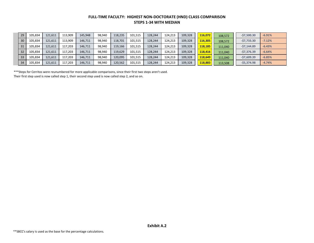### **FULL-TIME FACULTY: HIGHEST NON-DOCTORATE (HND) CLASS COMPARISON STEPS 1-34 WITH MEDIAN**

| 29 | 105,834 | 121,611 | 113,909 | 145,948 | 98,940 | 118,235 | 101,515 | 128,244 | 124,213 | 109,328 | 116.072 | 108,572 | -\$7,500.30  | $-6.91%$ |
|----|---------|---------|---------|---------|--------|---------|---------|---------|---------|---------|---------|---------|--------------|----------|
| 30 | 105,834 | 121,611 | 113,909 | 146,711 | 98,940 | 118,701 | 101,515 | 128,244 | 124,213 | 109,328 | 116,305 | 108,572 | $-57,733.30$ | $-7.12%$ |
| 31 | 105,834 | 121,611 | 117,203 | 146.711 | 98,940 | 119,166 | 101,515 | 128,244 | 124,213 | 109,328 | 118.185 | 111,040 | -\$7.144.89  | $-6.43%$ |
| 32 | 105,834 | 121,611 | 117.203 | 146.711 | 98,940 | 119,629 | 101,515 | 128,244 | 124,213 | 109,328 | 118.416 | 111,040 | $-57,376.39$ | $-6.64%$ |
| 33 | 105,834 | 121.611 | 117.203 | 146.711 | 98.940 | 120,095 | 101,515 | 128.244 | 124.213 | 109,328 | 118.649 | 111,040 | $-57,609.39$ | $-6.85%$ |
| 34 | 105,834 | 121,611 | 117,203 | 146,711 | 98,940 | 120,562 | 101,515 | 128,244 | 124,213 | 109,328 | 118,883 | 113,508 | -\$5,374.98  | $-4.74%$ |

\*\*\*Steps for Cerritos were reunumbered for more applicable comparisons, since their first two steps aren't used. Their first step used is now called step 1, their second step used is now called step 2, and so on.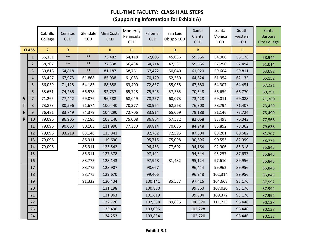# **FULL-TIME FACULTY: CLASS II ALL STEPS (Supporting Information for Exhibit A)**

|              |                | Cabrillo<br>College | Cerritos<br><b>CCD</b> | Glendale<br>CCD | Mira Costa<br><b>CCD</b> | Monterey<br>Peninsula<br>CCD | Palomar<br><b>CCD</b> | San Luis<br>Obispo CCD | Santa<br>Clarita<br><b>CCD</b> | Santa<br>Monica<br><b>CCD</b> | South<br>western<br><b>CCD</b> | Santa<br><b>Barbara</b><br><b>City College</b> |
|--------------|----------------|---------------------|------------------------|-----------------|--------------------------|------------------------------|-----------------------|------------------------|--------------------------------|-------------------------------|--------------------------------|------------------------------------------------|
|              | <b>CLASS</b>   | 2 <sup>1</sup>      | B                      | $\mathbf{II}$   | $\mathbf{II}$            | III                          | $\mathsf{C}$          | $\sf B$                | B.                             | $\mathbf{II}$                 | $\mathbf{H}$                   | $\mathbf{II}$                                  |
|              | $\mathbf{1}$   | 56,151              | $***$                  | $***$           | 73,482                   | 54,118                       | 62,005                | 45,036                 | 59,556                         | 54,900                        | 55,178                         | 58,944                                         |
|              | $\overline{2}$ | 58,207              | $\ast\ast$             | $\ast\ast$      | 77,338                   | 56,434                       | 64,714                | 47,531                 | 59,556                         | 57,250                        | 57,494                         | 61,014                                         |
|              | 3              | 60,818              | 64,818                 | $\ast\ast$      | 81,187                   | 58,761                       | 67,422                | 50,040                 | 61,920                         | 59,604                        | 59,811                         | 63,082                                         |
|              | $\overline{4}$ | 63,427              | 67,973                 | 61,868          | 85,038                   | 61,083                       | 70,129                | 52,550                 | 64,824                         | 61,954                        | 62,132                         | 65,152                                         |
|              | 5              | 66,039              | 71,128                 | 64,183          | 88,888                   | 63,400                       | 72,837                | 55,058                 | 67,680                         | 64,307                        | 64,451                         | 67,221                                         |
|              | 6              | 68,651              | 74,286                 | 66,578          | 92,737                   | 65,728                       | 75,545                | 57,585                 | 70,548                         | 66,659                        | 66,770                         | 69,291                                         |
| $\mathsf{S}$ | $\overline{7}$ | 71,265              | 77,442                 | 69,076          | 96,588                   | 68,049                       | 78,257                | 60,073                 | 73,428                         | 69,011                        | 69,088                         | 71,360                                         |
| т            | 8              | 73,873              | 80,596                 | 71,674          | 100,440                  | 70,377                       | 80,964                | 62,563                 | 76,308                         | 78,794                        | 71,407                         | 73,429                                         |
| E            | 9              | 76,481              | 83,749                 | 74,379          | 104,290                  | 72,706                       | 83,914                | 65,069                 | 79,188                         | 81,146                        | 73,724                         | 75,499                                         |
| P            | 10             | 79,096              | 86,905                 | 77,185          | 108,140                  | 75,008                       | 86,864                | 67,582                 | 82,068                         | 83,498                        | 76,043                         | 77,568                                         |
|              | 11             | 79,096              | 90,063                 | 80,103          | 111,990                  | 77,330                       | 89,814                | 70,086                 | 84,948                         | 85,852                        | 78,362                         | 79,638                                         |
|              | 12             | 79,096              | 93,218                 | 83,146          | 115,841                  |                              | 92,762                | 72,595                 | 87,804                         | 88,201                        | 80,682                         | 81,707                                         |
|              | 13             | 79,096              |                        | 86,311          | 119,690                  |                              | 95,715                | 75,098                 | 90,696                         | 90,553                        | 82,999                         | 83,776                                         |
|              | 14             | 79,096              |                        | 86,311          | 123,542                  |                              | 96,453                | 77,602                 | 94,164                         | 92,906                        | 85,318                         | 85,845                                         |
|              | 15             |                     |                        | 86,311          | 127,378                  |                              | 97,191                |                        | 94,644                         | 95,257                        | 87,637                         | 85,845                                         |
|              | 16             |                     |                        | 88,775          | 128,143                  |                              | 97,928                | 81,482                 | 95,124                         | 97,610                        | 89,956                         | 85,845                                         |
|              | 17             |                     |                        | 88,775          | 128,907                  |                              | 98,667                |                        | 96,444                         | 99,962                        | 89,956                         | 85,845                                         |
|              | 18             |                     |                        | 88,775          | 129,670                  |                              | 99,406                |                        | 96,948                         | 102,314                       | 89,956                         | 85,845                                         |
|              | 19             |                     |                        | 91,332          | 130,434                  |                              | 100,141               | 85,557                 | 97,416                         | 104,668                       | 93,176                         | 87,992                                         |
|              | 20             |                     |                        |                 | 131,198                  |                              | 100,880               |                        | 99,360                         | 107,020                       | 93,176                         | 87,992                                         |
|              | 21             |                     |                        |                 | 131,963                  |                              | 101,619               |                        | 99,804                         | 109,372                       | 93,176                         | 87,992                                         |
|              | 22             |                     |                        |                 | 132,726                  |                              | 102,358               | 89,835                 | 100,320                        | 111,725                       | 96,446                         | 90,138                                         |
|              | 23             |                     |                        |                 | 133,490                  |                              | 103,095               |                        | 102,228                        |                               | 96,446                         | 90,138                                         |
|              | 24             |                     |                        |                 | 134,253                  |                              | 103,834               |                        | 102,720                        |                               | 96,446                         | 90,138                                         |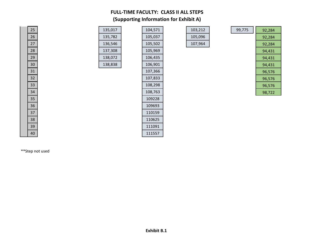# **FULL-TIME FACULTY: CLASS II ALL STEPS (Supporting Information for Exhibit A)**

\_\_\_\_\_\_\_\_\_\_\_

| 25 |  |
|----|--|
| 26 |  |
| 27 |  |
| 28 |  |
| 29 |  |
| 30 |  |
| 31 |  |
| 32 |  |
| 33 |  |
| 34 |  |
| 35 |  |
| 36 |  |
| 37 |  |
| 38 |  |
| 39 |  |
| 40 |  |
|    |  |

| 135,017 |  |
|---------|--|
| 135,782 |  |
| 136,546 |  |
| 137,308 |  |
| 138,072 |  |
| 138,838 |  |

| 105,037<br>105,502<br>105,969<br>106,435 |
|------------------------------------------|
|                                          |
|                                          |
|                                          |
|                                          |
| 106,901                                  |
| 107,366                                  |
| 107,833                                  |
| 108,298                                  |
| 108,763                                  |
| 109228                                   |
| 109693                                   |
| 110159                                   |
| 110625                                   |
| 111091                                   |
| 111557                                   |
|                                          |

| 103,212 |
|---------|
| 105,096 |
| 107,964 |

| 25 <sub>1</sub> | 135,017 | 104,571 | 103,212 | 99,775 | 92,284 |
|-----------------|---------|---------|---------|--------|--------|
| 26              | 135,782 | 105,037 | 105,096 |        | 92,284 |
| 27              | 136,546 | 105,502 | 107,964 |        | 92,284 |
| 28              | 137,308 | 105,969 |         |        | 94,431 |
| 29              | 138,072 | 106,435 |         |        | 94,431 |
| 30              | 138,838 | 106,901 |         |        | 94,431 |
| 31              |         | 107,366 |         |        | 96,576 |
| 32              |         | 107,833 |         |        | 96,576 |
| 33              |         | 108,298 |         |        | 96,576 |
| 34              |         | 108,763 |         |        | 98,722 |

\*\*Step not used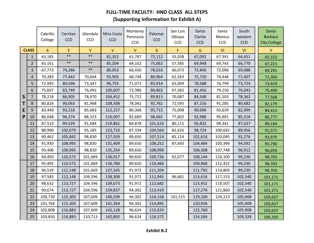# **FULL-TIME FACULTY: HND CLASS ALL STEPS (Supporting Information for Exhibit A)**

|              |                | Cabrillo<br>College | Cerritos<br><b>CCD</b> | Glendale<br>CCD | Mira Costa<br><b>CCD</b> | Monterey<br>Peninsula<br>CCD | Palomar<br><b>CCD</b> | San Luis<br>Obispo<br><b>CCD</b> | Santa<br>Clarita<br><b>CCD</b> | Santa<br>Monica<br>CCD | South<br>western<br><b>CCD</b> | Santa<br><b>Barbara</b><br><b>City College</b> |
|--------------|----------------|---------------------|------------------------|-----------------|--------------------------|------------------------------|-----------------------|----------------------------------|--------------------------------|------------------------|--------------------------------|------------------------------------------------|
|              | <b>CLASS</b>   | 6                   | E                      | $\vee$          | $\vee$                   | $\mathsf{V}$                 | G                     | F                                | G                              | VI                     | VI                             | $\mathsf{V}$                                   |
|              | $\mathbf{1}$   | 63,185              | $**$                   | $\ast\ast$      | 81,352                   | 61,787                       | 72,112                | 55,058                           | 67,092                         | 67,391                 | 64,451                         | 65,152                                         |
|              | $\overline{2}$ | 65,161              | $***$                  | $\ast\ast$      | 85,204                   | 64,102                       | 75,062                | 57,585                           | 69,948                         | 69,743                 | 66,770                         | 67,221                                         |
|              | $\overline{3}$ | 67,773              | 74,286                 | $\ast\ast$      | 89,053                   | 66,430                       | 78,016                | 60,073                           | 72,840                         | 72,096                 | 69,088                         | 69,291                                         |
|              | 4              | 70,383              | 77,442                 | 70,664          | 92,905                   | 68,748                       | 80,964                | 62,563                           | 75,720                         | 74,448                 | 71,407                         | 71,360                                         |
|              | 5              | 72,993              | 80,596                 | 73,347          | 96,755                   | 71,072                       | 83,914                | 65,069                           | 78,588                         | 76,799                 | 73,724                         | 73,429                                         |
|              | 6              | 75,607              | 83,749                 | 76,092          | 100,607                  | 73,386                       | 86,863                | 67,582                           | 81,456                         | 79,150                 | 76,043                         | 75,499                                         |
| $\mathsf{S}$ | $\overline{7}$ | 78,218              | 86,905                 | 78,970          | 104,452                  | 75,722                       | 89,813                | 70,087                           | 84,348                         | 81,503                 | 78,362                         | 77,568                                         |
| Τ            | 8              | 80,826              | 90,063                 | 81,968          | 108,308                  | 78,042                       | 92,762                | 72,595                           | 87,216                         | 91,285                 | 80,682                         | 82,179                                         |
| E            | 9              | 83,440              | 93,218                 | 85,083          | 112,157                  | 80,368                       | 95,715                | 75,098                           | 90,096                         | 93,639                 | 82,999                         | 84,415                                         |
| P            | 10             | 86,048              | 96,374                 | 88,323          | 116,007                  | 82,689                       | 98,665                | 77,602                           | 92,988                         | 95,991                 | 85,318                         | 86,777                                         |
|              | 11             | 87,519              | 99,529                 | 91,684          | 119,861                  | 84,878                       | 101,616               | 80,115                           | 95,832                         | 98,341                 | 87,637                         | 89,164                                         |
|              | 12             | 88,990              | 102,679                | 95,185          | 123,710                  | 87,334                       | 104,564               | 82,626                           | 98,724                         | 100,692                | 89,956                         | 91,571                                         |
|              | 13             | 90,462              | 105,842                | 98,830          | 127,559                  | 89,650                       | 107,514               | 85,124                           | 101,616                        | 103,045                | 92,276                         | 93,979                                         |
|              | 14             | 91,930              | 108,995                | 98,830          | 131,409                  | 89,650                       | 108,252               | 87,693                           | 104,484                        | 105,396                | 94,592                         | 95,790                                         |
|              | 15             | 93,406              | 108,995                | 98,830          | 135,254                  | 89,650                       | 108,990               |                                  | 106,308                        | 107,748                | 96,912                         | 96,693                                         |
|              | 16             | 94,450              | 110,572                | 101,669         | 136,017                  | 89,650                       | 109,726               | 92,077                           | 108,144                        | 110,100                | 99,230                         | 98,703                                         |
|              | 17             | 95,495              | 110,572                | 101,669         | 136,780                  | 89,650                       | 110,466               |                                  | 109,968                        | 112,452                | 99,230                         | 98,703                                         |
|              | 18             | 96,539              | 112,148                | 101,669         | 137,545                  | 91,972                       | 111,204               |                                  | 111,792                        | 114,803                | 99,230                         | 98,703                                         |
|              | 19             | 97,583              | 112,148                | 104,596         | 138,308                  | 91,972                       | 111,945               | 96,681                           | 113,616                        | 117,153                | 102,540                        | 101,171                                        |
|              | 20             | 98,632              | 113,727                | 104,596         | 139,073                  | 91,972                       | 112,682               |                                  | 115,452                        | 119,507                | 102,540                        | 101,171                                        |
|              | 21             | 99,674              | 113,727                | 104,596         | 139,837                  | 94,302                       | 113,419               |                                  | 117,276                        | 121,860                | 102,540                        | 101,171                                        |
|              | 22             | 100,720             | 115,305                | 107,609         | 140,599                  | 94,302                       | 114,158               | 101,515                          | 119,100                        | 124,213                | 105,908                        | 103,637                                        |
|              | 23             | 101,764             | 115,305                | 107,609         | 141,364                  | 94,302                       | 114,895               |                                  | 120,936                        |                        | 105,908                        | 103,637                                        |
|              | 24             | 102,808             | 116,883                | 107,609         | 142,128                  | 96,624                       | 115,633               |                                  | 122,760                        |                        | 105,908                        | 103,637                                        |
|              | 25             | 103,850             | 116,883                | 110,713         | 142,892                  | 96,624                       | 116,372               |                                  | 124,584                        |                        | 109,328                        | 106,105                                        |